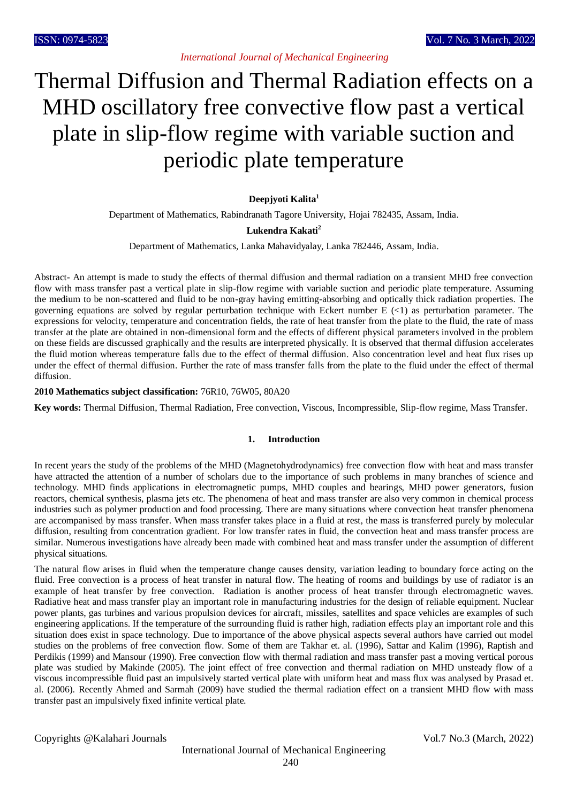*International Journal of Mechanical Engineering*

# Thermal Diffusion and Thermal Radiation effects on a MHD oscillatory free convective flow past a vertical plate in slip-flow regime with variable suction and periodic plate temperature

# **Deepjyoti Kalita<sup>1</sup>**

Department of Mathematics, Rabindranath Tagore University, Hojai 782435, Assam, India.

# **Lukendra Kakati<sup>2</sup>**

Department of Mathematics, Lanka Mahavidyalay, Lanka 782446, Assam, India.

Abstract- An attempt is made to study the effects of thermal diffusion and thermal radiation on a transient MHD free convection flow with mass transfer past a vertical plate in slip-flow regime with variable suction and periodic plate temperature. Assuming the medium to be non-scattered and fluid to be non-gray having emitting-absorbing and optically thick radiation properties. The governing equations are solved by regular perturbation technique with Eckert number E  $(\langle 1 \rangle)$  as perturbation parameter. The expressions for velocity, temperature and concentration fields, the rate of heat transfer from the plate to the fluid, the rate of mass transfer at the plate are obtained in non-dimensional form and the effects of different physical parameters involved in the problem on these fields are discussed graphically and the results are interpreted physically. It is observed that thermal diffusion accelerates the fluid motion whereas temperature falls due to the effect of thermal diffusion. Also concentration level and heat flux rises up under the effect of thermal diffusion. Further the rate of mass transfer falls from the plate to the fluid under the effect of thermal diffusion.

## **2010 Mathematics subject classification:** 76R10, 76W05, 80A20

**Key words:** Thermal Diffusion, Thermal Radiation, Free convection, Viscous, Incompressible, Slip-flow regime, Mass Transfer.

## **1. Introduction**

In recent years the study of the problems of the MHD (Magnetohydrodynamics) free convection flow with heat and mass transfer have attracted the attention of a number of scholars due to the importance of such problems in many branches of science and technology. MHD finds applications in electromagnetic pumps, MHD couples and bearings, MHD power generators, fusion reactors, chemical synthesis, plasma jets etc. The phenomena of heat and mass transfer are also very common in chemical process industries such as polymer production and food processing. There are many situations where convection heat transfer phenomena are accompanised by mass transfer. When mass transfer takes place in a fluid at rest, the mass is transferred purely by molecular diffusion, resulting from concentration gradient. For low transfer rates in fluid, the convection heat and mass transfer process are similar. Numerous investigations have already been made with combined heat and mass transfer under the assumption of different physical situations.

The natural flow arises in fluid when the temperature change causes density, variation leading to boundary force acting on the fluid. Free convection is a process of heat transfer in natural flow. The heating of rooms and buildings by use of radiator is an example of heat transfer by free convection. Radiation is another process of heat transfer through electromagnetic waves. Radiative heat and mass transfer play an important role in manufacturing industries for the design of reliable equipment. Nuclear power plants, gas turbines and various propulsion devices for aircraft, missiles, satellites and space vehicles are examples of such engineering applications. If the temperature of the surrounding fluid is rather high, radiation effects play an important role and this situation does exist in space technology. Due to importance of the above physical aspects several authors have carried out model studies on the problems of free convection flow. Some of them are Takhar et. al. (1996), Sattar and Kalim (1996), Raptish and Perdikis (1999) and Mansour (1990). Free convection flow with thermal radiation and mass transfer past a moving vertical porous plate was studied by Makinde (2005). The joint effect of free convection and thermal radiation on MHD unsteady flow of a viscous incompressible fluid past an impulsively started vertical plate with uniform heat and mass flux was analysed by Prasad et. al. (2006). Recently Ahmed and Sarmah (2009) have studied the thermal radiation effect on a transient MHD flow with mass transfer past an impulsively fixed infinite vertical plate.

Copyrights @Kalahari Journals Vol.7 No.3 (March, 2022)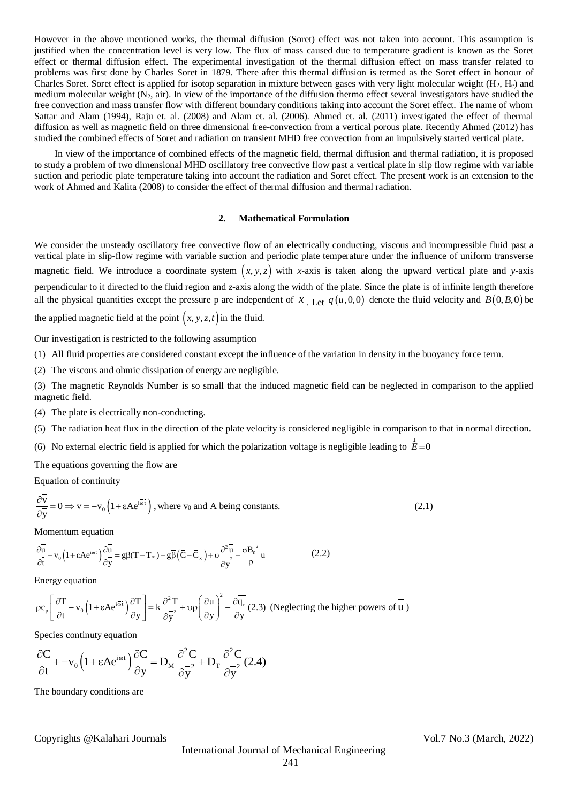However in the above mentioned works, the thermal diffusion (Soret) effect was not taken into account. This assumption is justified when the concentration level is very low. The flux of mass caused due to temperature gradient is known as the Soret effect or thermal diffusion effect. The experimental investigation of the thermal diffusion effect on mass transfer related to problems was first done by Charles Soret in 1879. There after this thermal diffusion is termed as the Soret effect in honour of Charles Soret. Soret effect is applied for isotop separation in mixture between gases with very light molecular weight  $(H_2, H_e)$  and medium molecular weight  $(N_2, \text{air})$ . In view of the importance of the diffusion thermo effect several investigators have studied the free convection and mass transfer flow with different boundary conditions taking into account the Soret effect. The name of whom Sattar and Alam (1994), Raju et. al. (2008) and Alam et. al. (2006). Ahmed et. al. (2011) investigated the effect of thermal diffusion as well as magnetic field on three dimensional free-convection from a vertical porous plate. Recently Ahmed (2012) has studied the combined effects of Soret and radiation on transient MHD free convection from an impulsively started vertical plate.

In view of the importance of combined effects of the magnetic field, thermal diffusion and thermal radiation, it is proposed to study a problem of two dimensional MHD oscillatory free convective flow past a vertical plate in slip flow regime with variable suction and periodic plate temperature taking into account the radiation and Soret effect. The present work is an extension to the work of Ahmed and Kalita (2008) to consider the effect of thermal diffusion and thermal radiation.

## **2. Mathematical Formulation**

We consider the unsteady oscillatory free convective flow of an electrically conducting, viscous and incompressible fluid past a vertical plate in slip-flow regime with variable suction and periodic plate temperature under the influence of uniform transverse magnetic field. We introduce a coordinate system  $(x, y, z)$  with *x*-axis is taken along the upward vertical plate and *y*-axis perpendicular to it directed to the fluid region and *z*-axis along the width of the plate. Since the plate is of infinite length therefore all the physical quantities except the pressure p are independent of  $x$ . Let  $\overline{q}(\overline{u},0,0)$  denote the fluid velocity and  $\overline{B}(0,B,0)$  be

the applied magnetic field at the point  $(x, y, z, t)$  in the fluid.

Our investigation is restricted to the following assumption

(1) All fluid properties are considered constant except the influence of the variation in density in the buoyancy force term.

(2) The viscous and ohmic dissipation of energy are negligible.

(3) The magnetic Reynolds Number is so small that the induced magnetic field can be neglected in comparison to the applied magnetic field.

(4) The plate is electrically non-conducting.

(5) The radiation heat flux in the direction of the plate velocity is considered negligible in comparison to that in normal direction.

(6) No external electric field is applied for which the polarization voltage is negligible leading to  $\bar{E}$  = 0 r

The equations governing the flow are

Equation of continuity

$$
\frac{\partial \mathbf{v}}{\partial \mathbf{y}} = 0 \Longrightarrow \mathbf{v} = -\mathbf{v}_0 \left( 1 + \varepsilon A e^{i\overline{\omega}t} \right), \text{ where } \mathbf{v}_0 \text{ and } A \text{ being constants.}
$$
\n(2.1)

Momentum equation

Momentum equation

\n
$$
\frac{\partial \bar{u}}{\partial \bar{t}} - v_0 \left( 1 + \varepsilon A e^{i\vec{\omega}\vec{t}} \right) \frac{\partial \bar{u}}{\partial \bar{y}} = g \beta (\bar{T} - \bar{T}_{\infty}) + g \bar{\beta} \left( \bar{C} - \bar{C}_{\infty} \right) + v \frac{\partial^2 \bar{u}}{\partial \bar{y}} - \frac{\sigma B_0^2}{\rho} \bar{u} \tag{2.2}
$$

Energy equation

Energy equation  
\n
$$
\rho c_p \left[ \frac{\partial \overline{T}}{\partial t} - v_0 \left( 1 + \epsilon A e^{i \overline{\omega} t} \right) \frac{\partial \overline{T}}{\partial y} \right] = k \frac{\partial^2 \overline{T}}{\partial y^2} + \upsilon \rho \left( \frac{\partial \overline{u}}{\partial y} \right)^2 - \frac{\partial \overline{q_r}}{\partial y} (2.3) \text{ (Neglecting the higher powers of } \overline{u} \text{)}
$$

Species continuty equation

$$
\frac{\partial \overline{C}}{\partial \overline{t}} + -v_0 \left(1 + \varepsilon A e^{i\overline{\omega} t}\right) \frac{\partial \overline{C}}{\partial \overline{y}} = D_M \frac{\partial^2 \overline{C}}{\partial y^2} + D_T \frac{\partial^2 \overline{C}}{\partial y^2} (2.4)
$$

The boundary conditions are

# Copyrights @Kalahari Journals Vol.7 No.3 (March, 2022)

International Journal of Mechanical Engineering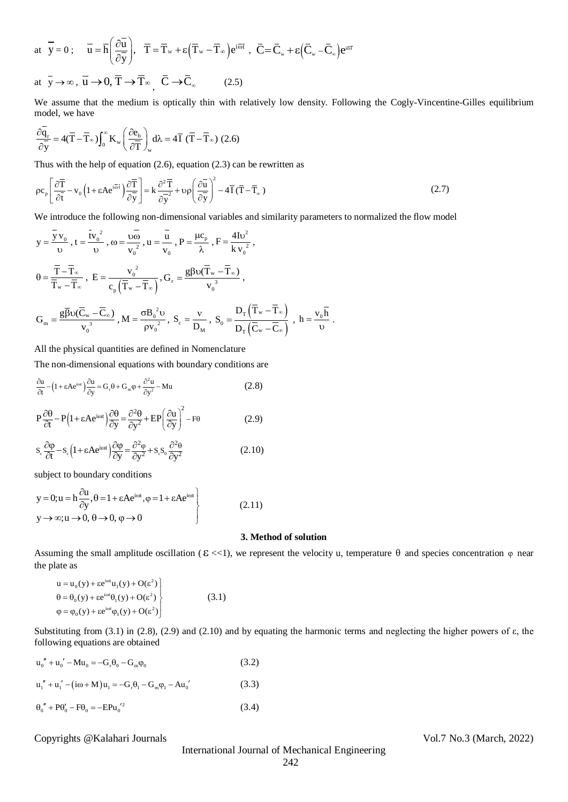at 
$$
\overline{y} = 0
$$
;  $\overline{u} = \overline{h} \left( \frac{\partial \overline{u}}{\partial \overline{y}} \right)$ ,  $\overline{T} = \overline{T}_w + \varepsilon (\overline{T}_w - \overline{T}_\infty) e^{i\overline{\omega} t}$ ,  $\overline{C} = \overline{C}_w + \varepsilon (\overline{C}_w - \overline{C}_\infty) e^{i\overline{\omega} t}$   
at  $\overline{y} \to \infty$ ,  $\overline{u} \to 0$ ,  $\overline{T} \to \overline{T}_\infty$ ,  $\overline{C} \to \overline{C}_\infty$  (2.5)

We assume that the medium is optically thin with relatively low density. Following the Cogly-Vincentine-Gilles equilibrium model, we have

model, we have  
\n
$$
\frac{\partial \overline{q}_r}{\partial \overline{y}} = 4(\overline{T} - \overline{T}_{\infty}) \int_0^{\infty} K_w \left( \frac{\partial e_b}{\partial \overline{T}} \right)_w d\lambda = 4 \overline{T} (\overline{T} - \overline{T}_{\infty}) (2.6)
$$

Thus with the help of equation (2.6), equation (2.3) can be rewritten as  
\n
$$
\rho c_p \left[ \frac{\partial \overline{T}}{\partial \overline{t}} - v_0 \left( 1 + \epsilon A e^{i\overline{\omega} \overline{t}} \right) \frac{\partial \overline{T}}{\partial \overline{y}} \right] = k \frac{\partial^2 \overline{T}}{\partial \overline{y}} + v \rho \left( \frac{\partial \overline{u}}{\partial \overline{y}} \right)^2 - 4 \overline{T} (\overline{T} - \overline{T}_\infty)
$$
\n(2.7)

We introduce the following non-dimensional variables and similarity parameters to normalized the flow model

$$
y = \frac{\overline{y}v_0}{v}, t = \frac{tv_0^2}{v}, \omega = \frac{v_0}{v_0^2}, u = \frac{\overline{u}}{v_0}, P = \frac{\mu c_p}{\lambda}, F = \frac{4Iv^2}{kv_0^2},
$$
  
\n
$$
\theta = \frac{\overline{T} - \overline{T}_{\infty}}{\overline{T}_{w} - \overline{T}_{\infty}}, E = \frac{v_0^2}{c_p(\overline{T}_{w} - \overline{T}_{\infty})}, G_r = \frac{g\beta v(\overline{T}_{w} - \overline{T}_{\infty})}{v_0^3},
$$
  
\n
$$
G_m = \frac{g\overline{\beta}v(\overline{C}_{w} - \overline{C}_{\infty})}{v_0^3}, M = \frac{\sigma B_0^2 v}{\rho v_0^2}, S_c = \frac{v}{D_M}, S_0 = \frac{D_T(\overline{T}_{w} - \overline{T}_{\infty})}{D_T(\overline{C}_{w} - \overline{C}_{\infty})}, h = \frac{v_0\overline{h}}{v}.
$$

All the physical quantities are defined in Nomenclature

The non-dimensional equations with boundary conditions are

$$
\frac{\partial u}{\partial t} - \left(1 + \varepsilon A e^{i\omega t}\right) \frac{\partial u}{\partial y} = G_r \theta + G_m \phi + \frac{\partial^2 u}{\partial y^2} - M u \tag{2.8}
$$

$$
P\frac{\partial \theta}{\partial t} - P\left(1 + \varepsilon A e^{i\omega t}\right) \frac{\partial \theta}{\partial y} = \frac{\partial^2 \theta}{\partial y^2} + EP\left(\frac{\partial u}{\partial y}\right)^2 - F\theta
$$
 (2.9)

$$
S_c \frac{\partial \varphi}{\partial t} - S_c \left( 1 + \epsilon A e^{i\omega t} \right) \frac{\partial \varphi}{\partial y} = \frac{\partial^2 \varphi}{\partial y^2} + S_c S_o \frac{\partial^2 \theta}{\partial y^2}
$$
(2.10)

subject to boundary conditions

$$
y = 0; u = h \frac{\partial u}{\partial y}, \theta = 1 + \epsilon A e^{i\omega t}, \phi = 1 + \epsilon A e^{i\omega t}
$$
  
\n
$$
y \rightarrow \infty; u \rightarrow 0, \theta \rightarrow 0, \phi \rightarrow 0
$$
 (2.11)

## **3. Method of solution**

Assuming the small amplitude oscillation ( $\epsilon \ll 1$ ), we represent the velocity u, temperature  $\theta$  and species concentration  $\varphi$  near the plate as

$$
u = u_0(y) + \varepsilon e^{i\omega t} u_1(y) + O(\varepsilon^2)
$$
  
\n
$$
\theta = \theta_0(y) + \varepsilon e^{i\omega t} \theta_1(y) + O(\varepsilon^2)
$$
  
\n
$$
\varphi = \varphi_0(y) + \varepsilon e^{i\omega t} \varphi_1(y) + O(\varepsilon^2)
$$
\n(3.1)

Substituting from (3.1) in (2.8), (2.9) and (2.10) and by equating the harmonic terms and neglecting the higher powers of ε, the following equations are obtained

$$
u_0'' + u_0' - Mu_0 = -G_r \theta_0 - G_m \phi_0
$$
 (3.2)

 $u_1'' + u_1' - (i\omega + M)u_1 = -G_r \theta_1 - G_m \varphi_1 - Au_0'$  (3.3)

$$
\theta_0'' + P\theta_0' - F\theta_0 = -E P u_0'^2 \tag{3.4}
$$

Copyrights @Kalahari Journals Vol.7 No.3 (March, 2022)

International Journal of Mechanical Engineering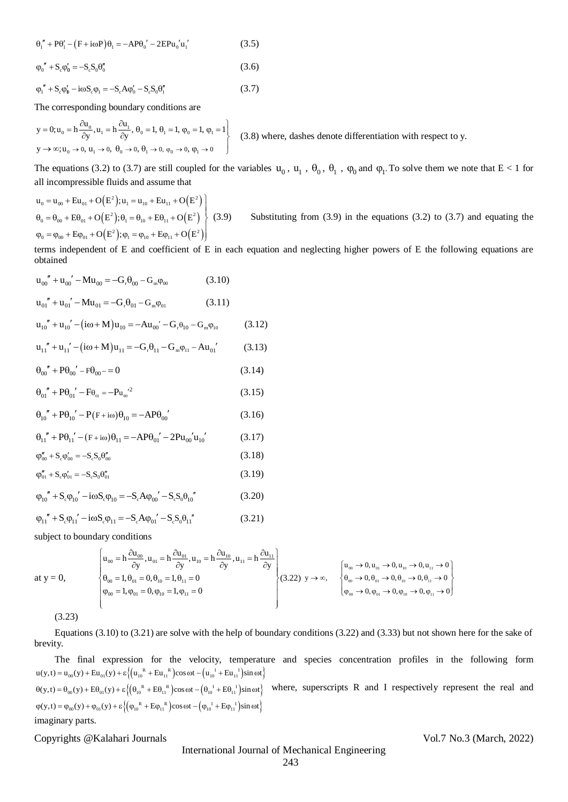$$
\theta_1'' + P\theta_1' - (F + i\omega P)\theta_1 = -AP\theta_0' - 2EPu_0'u_1'
$$
 (3.5)

$$
\varphi_0'' + S_c \varphi_0' = -S_c S_0 \theta_0''
$$
\n(3.6)

 $\varphi_1'' + S_c \varphi_0' - i\omega S_c \varphi_1 = -S_c A \varphi_0' - S_c S_0 \theta_1''$ (3.7)

The corresponding boundary conditions are  
\n
$$
y = 0; u_0 = h \frac{\partial u_0}{\partial y}, u_1 = h \frac{\partial u_1}{\partial y}, \theta_0 = 1, \theta_1 = 1, \phi_0 = 1, \phi_1 = 1
$$
\n(3.8) where, dashes denote differentiation with respect to y.  
\n
$$
y \to \infty; u_0 \to 0, u_1 \to 0, \theta_0 \to 0, \theta_1 \to 0, \phi_0 \to 0, \phi_1 \to 0
$$

The equations (3.2) to (3.7) are still coupled for the variables  $u_0$ ,  $u_1$ ,  $\theta_0$ ,  $\theta_1$ ,  $\phi_0$  and  $\phi_1$ . To solve them we note that  $E < 1$  for all incompressible fluids and assume that

$$
u_0 = u_{00} + Eu_{01} + O(E^2); u_1 = u_{10} + Eu_{11} + O(E^2)
$$
  
\n
$$
\theta_0 = \theta_{00} + E\theta_{01} + O(E^2); \theta_1 = \theta_{10} + E\theta_{11} + O(E^2)
$$
  
\n
$$
\phi_0 = \phi_{00} + E\phi_{01} + O(E^2); \phi_1 = \phi_{10} + E\phi_{11} + O(E^2)
$$
  
\n(3.9) Substituting from (3.9) in the equations (3.2) to (3.7) and equating the

terms independent of E and coefficient of E in each equation and neglecting higher powers of E the following equations are obtained

$$
u_{00}'' + u_{00}' - Mu_{00} = -G_r \theta_{00} - G_m \phi_{00}
$$
 (3.10)

$$
u_{01}^{"} + u_{01}^{"} - Mu_{01} = -G_r \theta_{01} - G_m \varphi_{01}
$$
 (3.11)

$$
u_{10}'' + u_{10}' - (i\omega + M)u_{10} = -Au_{00}' - G_r\theta_{10} - G_m\phi_{10}
$$
 (3.12)

$$
u_{11}'' + u_{11}' - (i\omega + M)u_{11} = -G_r \theta_{11} - G_m \phi_{11} - Au_{01}'
$$
 (3.13)

$$
\theta_{00}'' + P\theta_{00}' - F\theta_{00} = 0 \tag{3.14}
$$

$$
\theta_{01}^{\prime\prime} + P\theta_{01}^{\prime} - F\theta_{01} = -P u_{02}^{\prime\prime}{}^{2}
$$
 (3.15)

$$
\theta_{10}^{"} + P\theta_{10}' - P(F + i\omega)\theta_{10} = -AP\theta_{00}'
$$
\n(3.16)

$$
\theta_{11}^{\prime\prime} + P\theta_{11}^{\prime\prime} - (F + i\omega)\theta_{11} = -AP\theta_{01}^{\prime\prime} - 2Pu_{00}^{\prime}u_{10}^{\prime\prime}
$$
 (3.17)

$$
\varphi''_{00} + S_c \varphi'_{00} = -S_c S_0 \theta''_{00}
$$
\n(3.18)

$$
\varphi_{01}'' + S_c \varphi_{01}' = -S_c S_0 \theta_{01}'' \tag{3.19}
$$

$$
\varphi_{10}'' + S_c \varphi_{10}' - i\omega S_c \varphi_{10} = -S_c A \varphi_{00}' - S_c S_0 \theta_{10}''
$$
(3.20)

$$
\varphi_{11}^{\prime\prime} + S_c \varphi_{11}^{\prime} - i\omega S_c \varphi_{11} = -S_c A \varphi_{01}^{\prime\prime} - S_c S_0 \varphi_{11}^{\prime\prime} \tag{3.21}
$$

subject to boundary conditions

subject to boundary conditions  
\nat y = 0,  
\n
$$
\begin{cases}\nu_{00} = h \frac{\partial u_{00}}{\partial y}, u_{01} = h \frac{\partial u_{01}}{\partial y}, u_{10} = h \frac{\partial u_{10}}{\partial y}, u_{11} = h \frac{\partial u_{11}}{\partial y} \\
\theta_{00} = 1, \theta_{01} = 0, \theta_{10} = 1, \theta_{11} = 0\n\end{cases}
$$
\n
$$
\begin{cases}\nu_{00} \rightarrow 0, u_{01} \rightarrow 0, u_{10} \rightarrow 0, u_{11} \rightarrow 0 \\
\theta_{00} \rightarrow 0, \theta_{01} \rightarrow 0, \theta_{10} \rightarrow 0, \theta_{11} \rightarrow 0 \\
\theta_{00} \rightarrow 0, \theta_{01} \rightarrow 0, \theta_{10} \rightarrow 0, \theta_{11} \rightarrow 0\n\end{cases}
$$
\n(3.22)  $y \rightarrow \infty$ ,\n
$$
\begin{cases}\nu_{00} \rightarrow 0, u_{01} \rightarrow 0, u_{10} \rightarrow 0, u_{11} \rightarrow 0 \\
\theta_{00} \rightarrow 0, \theta_{01} \rightarrow 0, \theta_{10} \rightarrow 0, \theta_{11} \rightarrow 0 \\
\phi_{00} \rightarrow 0, \phi_{01} \rightarrow 0, \phi_{10} \rightarrow 0, \phi_{11} \rightarrow 0\n\end{cases}
$$

(3.23)

Equations (3.10) to (3.21) are solve with the help of boundary conditions (3.22) and (3.33) but not shown here for the sake of brevity.

6," + PK, - [F + iosP) θ, - - APθ<sub>α</sub>' - 2EPθ<sub>α</sub>' 6,"<br>
(3.5)<br>
φ, ' + S,  $\varphi_0' = S, S, \varnothing$ ;<br>
(3.6)<br>
φ, ' + S,  $\varphi_0' = S, S, \varnothing$ ;<br>
(3.6)<br>
The corresponding boundary conditions are<br>  $y - 0x_0 = \frac{50}{6}x_0 = -5$ ,  $A\varnothing_0'$ ,  $B_0 = 0$ The final expression for the velocity, temperature and species concentration profiles in the following form The final expression for the velocity, temperature  $u(y,t) = u_{00}(y) + Eu_{01}(y) + \varepsilon \{(u_{10}^R + Eu_{11}^R)\cos \omega t - (u_{10}^T + Eu_{11}^T)\sin \omega t\}$  $u(y,t) = u_{00}(y) + Eu_{01}(y) + \varepsilon \{ (u_{10}^R + Eu_{11}^R) \cos \omega t - (u_{10}^I + Eu_{11}^I) \sin \omega t \}$ <br>  $\theta(y,t) = \theta_{00}(y) + E\theta_{01}(y) + \varepsilon \{ (\theta_{10}^R + E\theta_{11}^R) \cos \omega t - (\theta_{10}^I + E\theta_{11}^I) \sin \omega t \}$  Wh  $(y, t) = \theta_{00}(y) + E\theta_{01}(y) + \varepsilon \{ (\theta_{10}^{R} + E\theta_{11}^{R}) \cos \omega t - (\theta_{10}^{T} + E\theta_{11}^{T}) \sin \omega t \}$ <br>  $(y, t) = \varphi_{00}(y) + \varphi_{01}(y) + \varepsilon \{ (\varphi_{10}^{R} + E\varphi_{11}^{R}) \cos \omega t - (\varphi_{10}^{T} + E\varphi_{11}^{T}) \sin \omega t \}$  $\theta(y,t) = \theta_{00}(y) + E\theta_{01}(y) + \varepsilon \left\{ \left( \theta_{10}^R + E\theta_{11}^R \right) \cos \omega t - \left( \theta_{10}^I + E\theta_{11}^I \right) \sin \omega t \right\}$  where, superscripts R and I respectively represent the real and  $\varphi(y,t) = \varphi_{00}(y) + \varphi_{01}(y) + \varepsilon \left\{ \left( \varphi_{10}^R + E\varphi_{11}^$ imaginary parts.

# Copyrights @Kalahari Journals Vol.7 No.3 (March, 2022)

# International Journal of Mechanical Engineering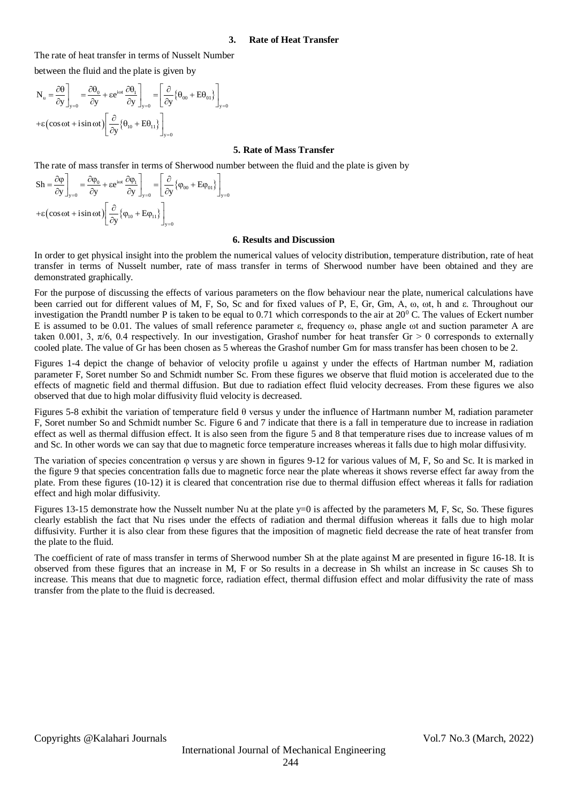#### **3. Rate of Heat Transfer**

The rate of heat transfer in terms of Nusselt Number

between the fluid and the plate is given by

$$
N_{u} = \frac{\partial \theta}{\partial y}\bigg|_{y=0} = \frac{\partial \theta_{0}}{\partial y} + \varepsilon e^{i\omega t} \frac{\partial \theta_{1}}{\partial y}\bigg|_{y=0} = \left[\frac{\partial}{\partial y} \{\theta_{00} + E\theta_{01}\}\right]_{y=0}
$$

$$
+ \varepsilon \left(\cos \omega t + i \sin \omega t\right) \left[\frac{\partial}{\partial y} \{\theta_{10} + E\theta_{11}\}\right]_{y=0}
$$

# **5. Rate of Mass Transfer**

The rate of mass transfer in terms of Sherwood number between the fluid and the plate is given by<br>  $S_h = \frac{\partial \varphi_0}{\partial \varphi} = \frac{\partial \varphi_0}{\partial \varphi} + s e^{i\omega t} \frac{\partial \varphi_1}{\partial \varphi_1} = \left[ \frac{\partial}{\partial \varphi_0} + F_0 \right]$ 

$$
\text{Sh} = \frac{\partial \varphi}{\partial y}\bigg|_{y=0} = \frac{\partial \varphi_0}{\partial y} + \varepsilon e^{\text{i} \omega t} \frac{\partial \varphi_1}{\partial y}\bigg|_{y=0} = \left[\frac{\partial}{\partial y} \{\varphi_{00} + E\varphi_{01}\}\right]_{y=0}
$$

$$
+ \varepsilon \left(\cos \omega t + i \sin \omega t\right) \left[\frac{\partial}{\partial y} \{\varphi_{10} + E\varphi_{11}\}\right]_{y=0}
$$

#### **6. Results and Discussion**

In order to get physical insight into the problem the numerical values of velocity distribution, temperature distribution, rate of heat transfer in terms of Nusselt number, rate of mass transfer in terms of Sherwood number have been obtained and they are demonstrated graphically.

For the purpose of discussing the effects of various parameters on the flow behaviour near the plate, numerical calculations have been carried out for different values of M, F, So, Sc and for fixed values of P, E, Gr, Gm, A, ω, ωt, h and ε. Throughout our investigation the Prandtl number P is taken to be equal to 0.71 which corresponds to the air at  $20^{\circ}$  C. The values of Eckert number E is assumed to be 0.01. The values of small reference parameter  $\varepsilon$ , frequency  $\omega$ , phase angle  $\omega$ t and suction parameter A are taken 0.001, 3,  $\pi/6$ , 0.4 respectively. In our investigation, Grashof number for heat transfer Gr > 0 corresponds to externally cooled plate. The value of Gr has been chosen as 5 whereas the Grashof number Gm for mass transfer has been chosen to be 2.

Figures 1-4 depict the change of behavior of velocity profile u against y under the effects of Hartman number M, radiation parameter F, Soret number So and Schmidt number Sc. From these figures we observe that fluid motion is accelerated due to the effects of magnetic field and thermal diffusion. But due to radiation effect fluid velocity decreases. From these figures we also observed that due to high molar diffusivity fluid velocity is decreased.

Figures 5-8 exhibit the variation of temperature field θ versus y under the influence of Hartmann number M, radiation parameter F, Soret number So and Schmidt number Sc. Figure 6 and 7 indicate that there is a fall in temperature due to increase in radiation effect as well as thermal diffusion effect. It is also seen from the figure 5 and 8 that temperature rises due to increase values of m and Sc. In other words we can say that due to magnetic force temperature increases whereas it falls due to high molar diffusivity.

The variation of species concentration φ versus y are shown in figures 9-12 for various values of M, F, So and Sc. It is marked in the figure 9 that species concentration falls due to magnetic force near the plate whereas it shows reverse effect far away from the plate. From these figures (10-12) it is cleared that concentration rise due to thermal diffusion effect whereas it falls for radiation effect and high molar diffusivity.

Figures 13-15 demonstrate how the Nusselt number Nu at the plate y=0 is affected by the parameters M, F, Sc, So. These figures clearly establish the fact that Nu rises under the effects of radiation and thermal diffusion whereas it falls due to high molar diffusivity. Further it is also clear from these figures that the imposition of magnetic field decrease the rate of heat transfer from the plate to the fluid.

The coefficient of rate of mass transfer in terms of Sherwood number Sh at the plate against M are presented in figure 16-18. It is observed from these figures that an increase in M, F or So results in a decrease in Sh whilst an increase in Sc causes Sh to increase. This means that due to magnetic force, radiation effect, thermal diffusion effect and molar diffusivity the rate of mass transfer from the plate to the fluid is decreased.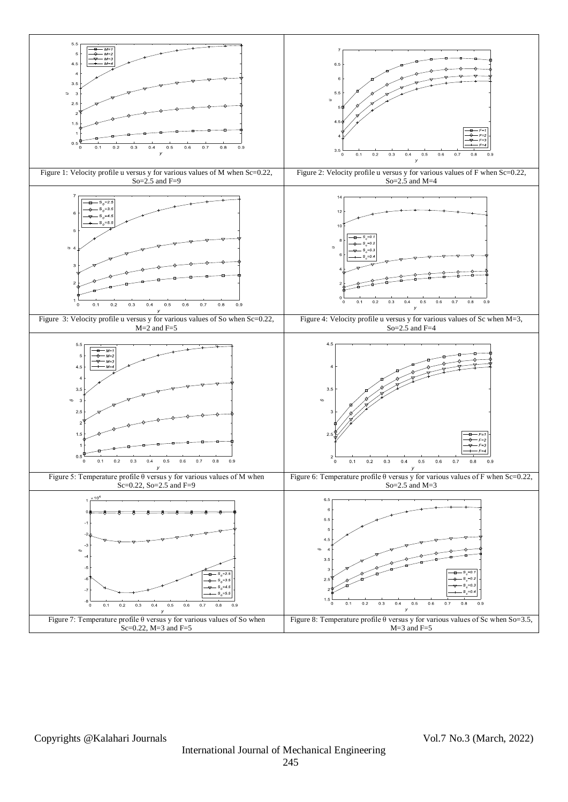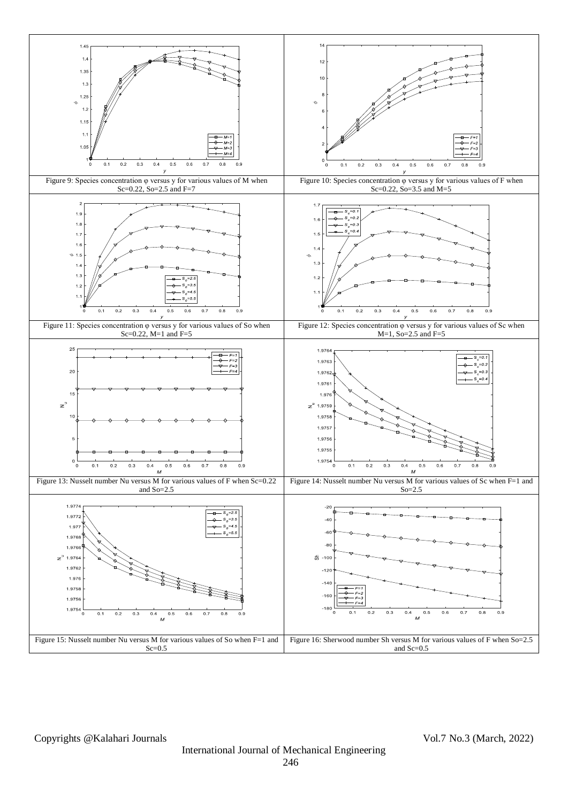

Copyrights @Kalahari Journals Vol.7 No.3 (March, 2022)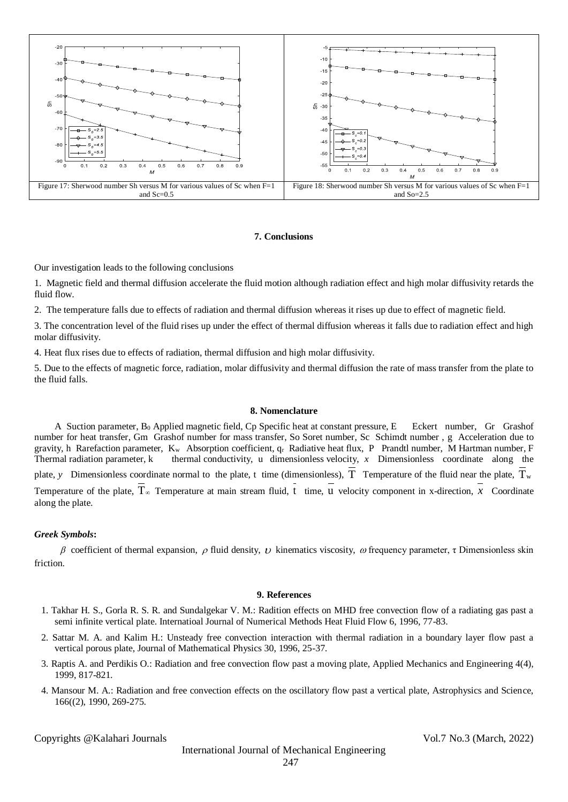

## **7. Conclusions**

Our investigation leads to the following conclusions

1. Magnetic field and thermal diffusion accelerate the fluid motion although radiation effect and high molar diffusivity retards the fluid flow.

2. The temperature falls due to effects of radiation and thermal diffusion whereas it rises up due to effect of magnetic field.

3. The concentration level of the fluid rises up under the effect of thermal diffusion whereas it falls due to radiation effect and high molar diffusivity.

4. Heat flux rises due to effects of radiation, thermal diffusion and high molar diffusivity.

5. Due to the effects of magnetic force, radiation, molar diffusivity and thermal diffusion the rate of mass transfer from the plate to the fluid falls.

#### **8. Nomenclature**

A Suction parameter, B<sub>0</sub> Applied magnetic field, Cp Specific heat at constant pressure, E Eckert number, Gr Grashof number for heat transfer, Gm Grashof number for mass transfer, So Soret number, Sc Schimdt number , g Acceleration due to gravity, h Rarefaction parameter,  $K_w$  Absorption coefficient,  $q_r$  Radiative heat flux, P Prandtl number, M Hartman number, F Thermal radiation parameter,  $k$  thermal conductivity, u dimensionless velocity,  $x$  Dimensionless coordinate along the plate, y Dimensionless coordinate normal to the plate, t time (dimensionless), T Temperature of the fluid near the plate, T<sub>w</sub> Temperature of the plate,  $T_{\infty}$  Temperature at main stream fluid, t time, u velocity component in x-direction, x Coordinate along the plate.

## *Greek Symbols***:**

β coefficient of thermal expansion,  $ρ$  fluid density,  $ν$  kinematics viscosity,  $ω$  frequency parameter, τ Dimensionless skin friction.

#### **9. References**

- 1. Takhar H. S., Gorla R. S. R. and Sundalgekar V. M.: Radition effects on MHD free convection flow of a radiating gas past a semi infinite vertical plate. Internatioal Journal of Numerical Methods Heat Fluid Flow 6, 1996, 77-83.
- 2. Sattar M. A. and Kalim H.: Unsteady free convection interaction with thermal radiation in a boundary layer flow past a vertical porous plate, Journal of Mathematical Physics 30, 1996, 25-37.
- 3. Raptis A. and Perdikis O.: Radiation and free convection flow past a moving plate, Applied Mechanics and Engineering 4(4), 1999, 817-821.
- 4. Mansour M. A.: Radiation and free convection effects on the oscillatory flow past a vertical plate, Astrophysics and Science, 166((2), 1990, 269-275.

Copyrights @Kalahari Journals Vol.7 No.3 (March, 2022)